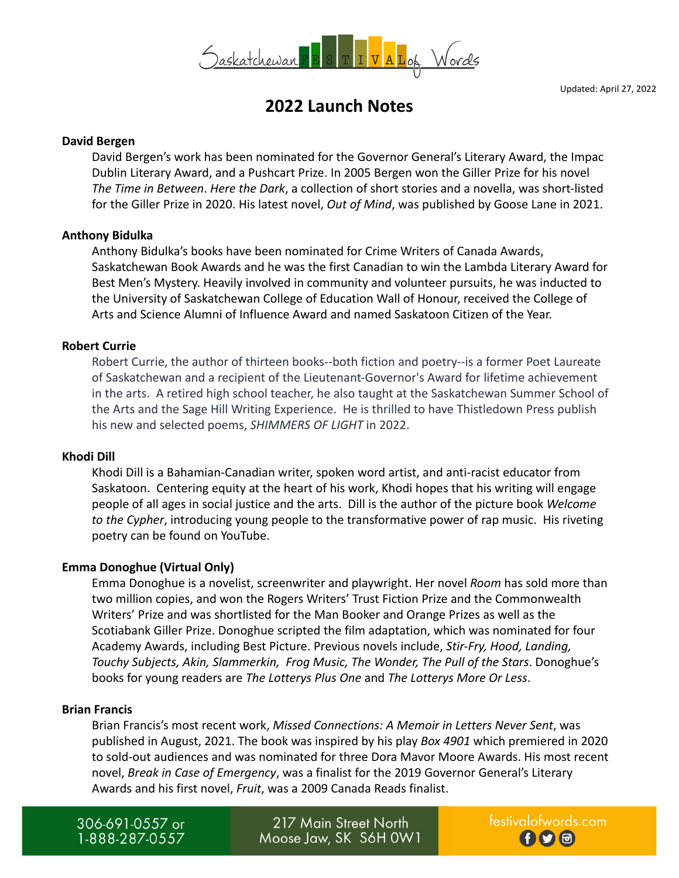

Updated: April 27, 2022

# **2022 Launch Notes**

#### **David Bergen**

David Bergen's work has been nominated for the Governor General's Literary Award, the Impac Dublin Literary Award, and a Pushcart Prize. In 2005 Bergen won the Giller Prize for his novel *The Time in Between*. *Here the Dark*, a collection of short stories and a novella, was short-listed for the Giller Prize in 2020. His latest novel, *Out of Mind*, was published by Goose Lane in 2021.

#### **Anthony Bidulka**

Anthony Bidulka's books have been nominated for Crime Writers of Canada Awards, Saskatchewan Book Awards and he was the first Canadian to win the Lambda Literary Award for Best Men's Mystery. Heavily involved in community and volunteer pursuits, he was inducted to the University of Saskatchewan College of Education Wall of Honour, received the College of Arts and Science Alumni of Influence Award and named Saskatoon Citizen of the Year.

#### **Robert Currie**

Robert Currie, the author of thirteen books--both fiction and poetry--is a former Poet Laureate of Saskatchewan and a recipient of the Lieutenant-Governor's Award for lifetime achievement in the arts. A retired high school teacher, he also taught at the Saskatchewan Summer School of the Arts and the Sage Hill Writing Experience. He is thrilled to have Thistledown Press publish his new and selected poems, *SHIMMERS OF LIGHT* in 2022.

#### **Khodi Dill**

Khodi Dill is a Bahamian-Canadian writer, spoken word artist, and anti-racist educator from Saskatoon. Centering equity at the heart of his work, Khodi hopes that his writing will engage people of all ages in social justice and the arts. Dill is the author of the picture book *Welcome to the Cypher*, introducing young people to the transformative power of rap music. His riveting poetry can be found on YouTube.

#### **Emma Donoghue (Virtual Only)**

Emma Donoghue is a novelist, screenwriter and playwright. Her novel *Room* has sold more than two million copies, and won the Rogers Writers' Trust Fiction Prize and the Commonwealth Writers' Prize and was shortlisted for the Man Booker and Orange Prizes as well as the Scotiabank Giller Prize. Donoghue scripted the film adaptation, which was nominated for four Academy Awards, including Best Picture. Previous novels include, *Stir-Fry, Hood, Landing, Touchy Subjects, Akin, Slammerkin, Frog Music, The Wonder, The Pull of the Stars*. Donoghue's books for young readers are *The Lotterys Plus One* and *The Lotterys More Or Less*.

#### **Brian Francis**

Brian Francis's most recent work, *Missed Connections: A Memoir in Letters Never Sent*, was published in August, 2021. The book was inspired by his play *Box 4901* which premiered in 2020 to sold-out audiences and was nominated for three Dora Mavor Moore Awards. His most recent novel, *Break in Case of Emergency*, was a finalist for the 2019 Governor General's Literary Awards and his first novel, *Fruit*, was a 2009 Canada Reads finalist.

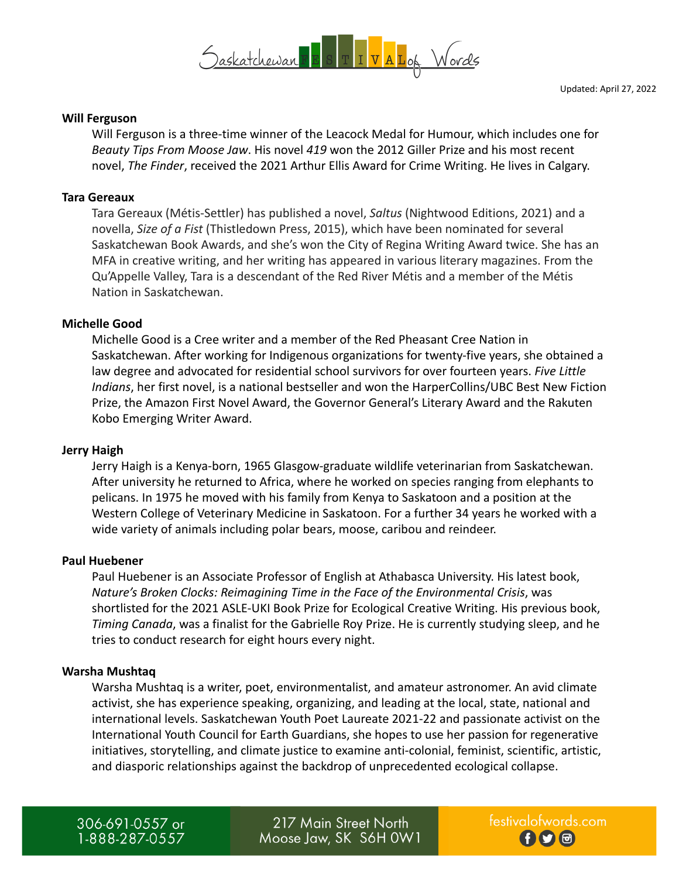

#### **Will Ferguson**

Will Ferguson is a three-time winner of the Leacock Medal for Humour, which includes one for *Beauty Tips From Moose Jaw*. His novel *419* won the 2012 Giller Prize and his most recent novel, *The Finder*, received the 2021 Arthur Ellis Award for Crime Writing. He lives in Calgary.

#### **Tara Gereaux**

Tara Gereaux (Métis-Settler) has published a novel, *Saltus* (Nightwood Editions, 2021) and a novella, *Size of a Fist* (Thistledown Press, 2015), which have been nominated for several Saskatchewan Book Awards, and she's won the City of Regina Writing Award twice. She has an MFA in creative writing, and her writing has appeared in various literary magazines. From the Qu'Appelle Valley, Tara is a descendant of the Red River Métis and a member of the Métis Nation in Saskatchewan.

#### **Michelle Good**

Michelle Good is a Cree writer and a member of the Red Pheasant Cree Nation in Saskatchewan. After working for Indigenous organizations for twenty-five years, she obtained a law degree and advocated for residential school survivors for over fourteen years. *Five Little Indians*, her first novel, is a national bestseller and won the HarperCollins/UBC Best New Fiction Prize, the Amazon First Novel Award, the Governor General's Literary Award and the Rakuten Kobo Emerging Writer Award.

#### **Jerry Haigh**

Jerry Haigh is a Kenya-born, 1965 Glasgow-graduate wildlife veterinarian from Saskatchewan. After university he returned to Africa, where he worked on species ranging from elephants to pelicans. In 1975 he moved with his family from Kenya to Saskatoon and a position at the Western College of Veterinary Medicine in Saskatoon. For a further 34 years he worked with a wide variety of animals including polar bears, moose, caribou and reindeer.

#### **Paul Huebener**

Paul Huebener is an Associate Professor of English at Athabasca University. His latest book, *Nature's Broken Clocks: Reimagining Time in the Face of the Environmental Crisis*, was shortlisted for the 2021 ASLE-UKI Book Prize for Ecological Creative Writing. His previous book, *Timing Canada*, was a finalist for the Gabrielle Roy Prize. He is currently studying sleep, and he tries to conduct research for eight hours every night.

#### **Warsha Mushtaq**

Warsha Mushtaq is a writer, poet, environmentalist, and amateur astronomer. An avid climate activist, she has experience speaking, organizing, and leading at the local, state, national and international levels. Saskatchewan Youth Poet Laureate 2021-22 and passionate activist on the International Youth Council for Earth Guardians, she hopes to use her passion for regenerative initiatives, storytelling, and climate justice to examine anti-colonial, feminist, scientific, artistic, and diasporic relationships against the backdrop of unprecedented ecological collapse.

306-691-0557 or 1-888-287-0557

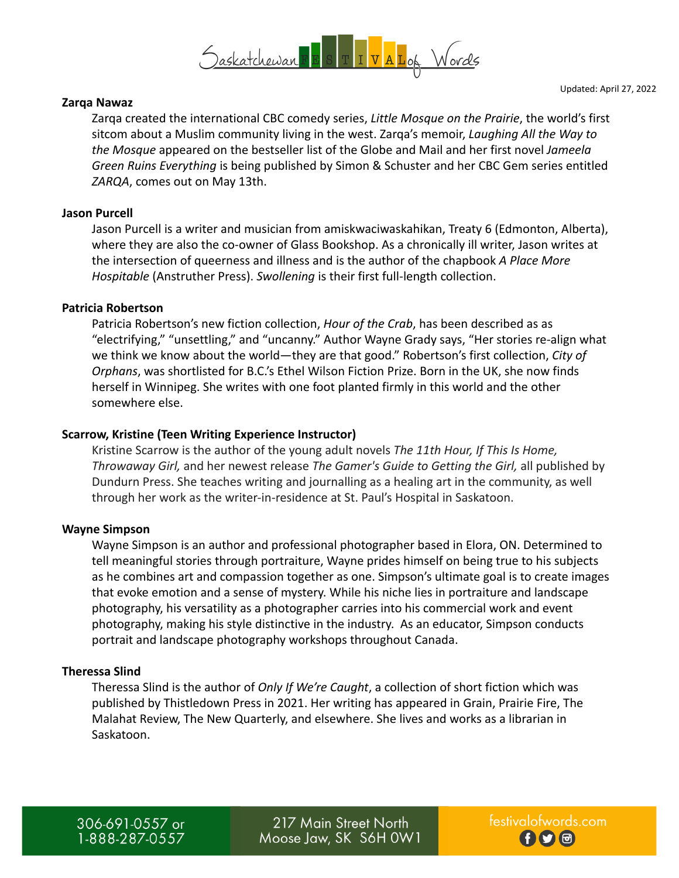

#### **Zarqa Nawaz**

Updated: April 27, 2022

Zarqa created the international CBC comedy series, *Little Mosque on the Prairie*, the world's first sitcom about a Muslim community living in the west. Zarqa's memoir, *Laughing All the Way to the Mosque* appeared on the bestseller list of the Globe and Mail and her first novel *Jameela Green Ruins Everything* is being published by Simon & Schuster and her CBC Gem series entitled *ZARQA*, comes out on May 13th.

## **Jason Purcell**

Jason Purcell is a writer and musician from amiskwaciwaskahikan, Treaty 6 (Edmonton, Alberta), where they are also the co-owner of Glass Bookshop. As a chronically ill writer, Jason writes at the intersection of queerness and illness and is the author of the chapbook *A Place More Hospitable* (Anstruther Press). *Swollening* is their first full-length collection.

## **Patricia Robertson**

Patricia Robertson's new fiction collection, *Hour of the Crab*, has been described as as "electrifying," "unsettling," and "uncanny." Author Wayne Grady says, "Her stories re-align what we think we know about the world—they are that good." Robertson's first collection, *City of Orphans*, was shortlisted for B.C.'s Ethel Wilson Fiction Prize. Born in the UK, she now finds herself in Winnipeg. She writes with one foot planted firmly in this world and the other somewhere else.

## **Scarrow, Kristine (Teen Writing Experience Instructor)**

Kristine Scarrow is the author of the young adult novels *The 11th Hour, If This Is Home, Throwaway Girl,* and her newest release *The Gamer's Guide to Getting the Girl,* all published by Dundurn Press. She teaches writing and journalling as a healing art in the community, as well through her work as the writer-in-residence at St. Paul's Hospital in Saskatoon.

#### **Wayne Simpson**

Wayne Simpson is an author and professional photographer based in Elora, ON. Determined to tell meaningful stories through portraiture, Wayne prides himself on being true to his subjects as he combines art and compassion together as one. Simpson's ultimate goal is to create images that evoke emotion and a sense of mystery. While his niche lies in portraiture and landscape photography, his versatility as a photographer carries into his commercial work and event photography, making his style distinctive in the industry. As an educator, Simpson conducts portrait and landscape photography workshops throughout Canada.

#### **Theressa Slind**

Theressa Slind is the author of *Only If We're Caught*, a collection of short fiction which was published by Thistledown Press in 2021. Her writing has appeared in Grain, Prairie Fire, The Malahat Review, The New Quarterly, and elsewhere. She lives and works as a librarian in Saskatoon.

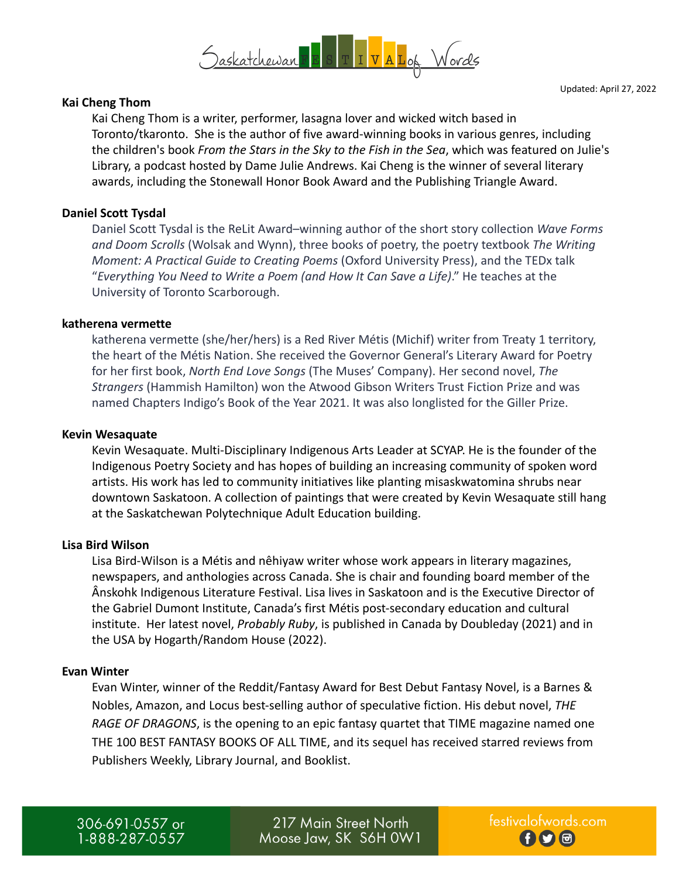

### **Kai Cheng Thom**

Kai Cheng Thom is a writer, performer, lasagna lover and wicked witch based in Toronto/tkaronto. She is the author of five award-winning books in various genres, including the children's book *From the Stars in the Sky to the Fish in the Sea*, which was featured on Julie's Library, a podcast hosted by Dame Julie Andrews. Kai Cheng is the winner of several literary awards, including the Stonewall Honor Book Award and the Publishing Triangle Award.

## **Daniel Scott Tysdal**

Daniel Scott Tysdal is the ReLit Award–winning author of the short story collection *Wave Forms and Doom Scrolls* (Wolsak and Wynn), three books of poetry, the poetry textbook *The Writing Moment: A Practical Guide to Creating Poems* (Oxford University Press), and the TEDx talk "*Everything You Need to Write a Poem (and How It Can Save a Life)*." He teaches at the University of Toronto Scarborough.

#### **katherena vermette**

katherena vermette (she/her/hers) is a Red River Métis (Michif) writer from Treaty 1 territory, the heart of the Métis Nation. She received the Governor General's Literary Award for Poetry for her first book, *North End Love Songs* (The Muses' Company). Her second novel, *The Strangers* (Hammish Hamilton) won the Atwood Gibson Writers Trust Fiction Prize and was named Chapters Indigo's Book of the Year 2021. It was also longlisted for the Giller Prize.

#### **Kevin Wesaquate**

Kevin Wesaquate. Multi-Disciplinary Indigenous Arts Leader at SCYAP. He is the founder of the Indigenous Poetry Society and has hopes of building an increasing community of spoken word artists. His work has led to community initiatives like planting misaskwatomina shrubs near downtown Saskatoon. A collection of paintings that were created by Kevin Wesaquate still hang at the Saskatchewan Polytechnique Adult Education building.

#### **Lisa Bird Wilson**

Lisa Bird-Wilson is a Métis and nêhiyaw writer whose work appears in literary magazines, newspapers, and anthologies across Canada. She is chair and founding board member of the Ânskohk Indigenous Literature Festival. Lisa lives in Saskatoon and is the Executive Director of the Gabriel Dumont Institute, Canada's first Métis post-secondary education and cultural institute. Her latest novel, *Probably Ruby*, is published in Canada by Doubleday (2021) and in the USA by Hogarth/Random House (2022).

#### **Evan Winter**

Evan Winter, winner of the Reddit/Fantasy Award for Best Debut Fantasy Novel, is a Barnes & Nobles, Amazon, and Locus best-selling author of speculative fiction. His debut novel, *THE RAGE OF DRAGONS*, is the opening to an epic fantasy quartet that TIME magazine named one THE 100 BEST FANTASY BOOKS OF ALL TIME, and its sequel has received starred reviews from Publishers Weekly, Library Journal, and Booklist.

306-691-0557 or 1-888-287-0557

217 Main Street North Moose Jaw, SK S6H 0W1 Updated: April 27, 2022

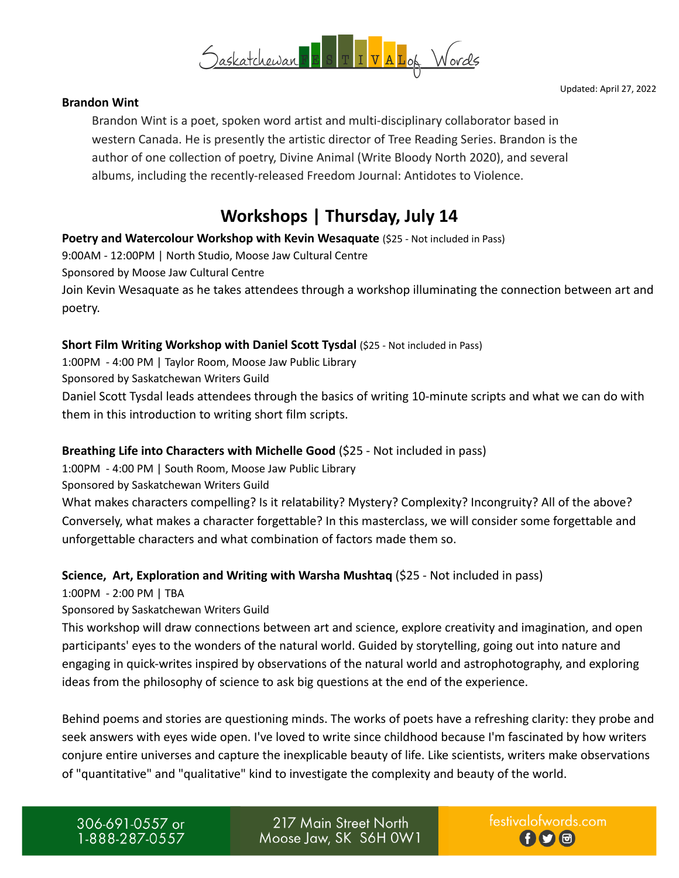



## **Brandon Wint**

Brandon Wint is a poet, spoken word artist and multi-disciplinary collaborator based in western Canada. He is presently the artistic director of Tree Reading Series. Brandon is the author of one collection of poetry, Divine Animal (Write Bloody North 2020), and several albums, including the recently-released Freedom Journal: Antidotes to Violence.

# **Workshops | Thursday, July 14**

**Poetry and Watercolour Workshop with Kevin Wesaquate** (\$25 - Not included in Pass)

9:00AM - 12:00PM | North Studio, Moose Jaw Cultural Centre

Sponsored by Moose Jaw Cultural Centre

Join Kevin Wesaquate as he takes attendees through a workshop illuminating the connection between art and poetry.

## **Short Film Writing Workshop with Daniel Scott Tysdal** (\$25 - Not included in Pass)

1:00PM - 4:00 PM | Taylor Room, Moose Jaw Public Library

Sponsored by Saskatchewan Writers Guild

Daniel Scott Tysdal leads attendees through the basics of writing 10-minute scripts and what we can do with them in this introduction to writing short film scripts.

# **Breathing Life into Characters with Michelle Good** (\$25 - Not included in pass)

1:00PM - 4:00 PM | South Room, Moose Jaw Public Library

Sponsored by Saskatchewan Writers Guild

What makes characters compelling? Is it relatability? Mystery? Complexity? Incongruity? All of the above? Conversely, what makes a character forgettable? In this masterclass, we will consider some forgettable and unforgettable characters and what combination of factors made them so.

# **Science, Art, Exploration and Writing with Warsha Mushtaq** (\$25 - Not included in pass)

1:00PM - 2:00 PM | TBA

Sponsored by Saskatchewan Writers Guild

This workshop will draw connections between art and science, explore creativity and imagination, and open participants' eyes to the wonders of the natural world. Guided by storytelling, going out into nature and engaging in quick-writes inspired by observations of the natural world and astrophotography, and exploring ideas from the philosophy of science to ask big questions at the end of the experience.

Behind poems and stories are questioning minds. The works of poets have a refreshing clarity: they probe and seek answers with eyes wide open. I've loved to write since childhood because I'm fascinated by how writers conjure entire universes and capture the inexplicable beauty of life. Like scientists, writers make observations of "quantitative" and "qualitative" kind to investigate the complexity and beauty of the world.

306-691-0557 or 1-888-287-0557

217 Main Street North Moose Jaw, SK S6H 0W1 festivalofwords.com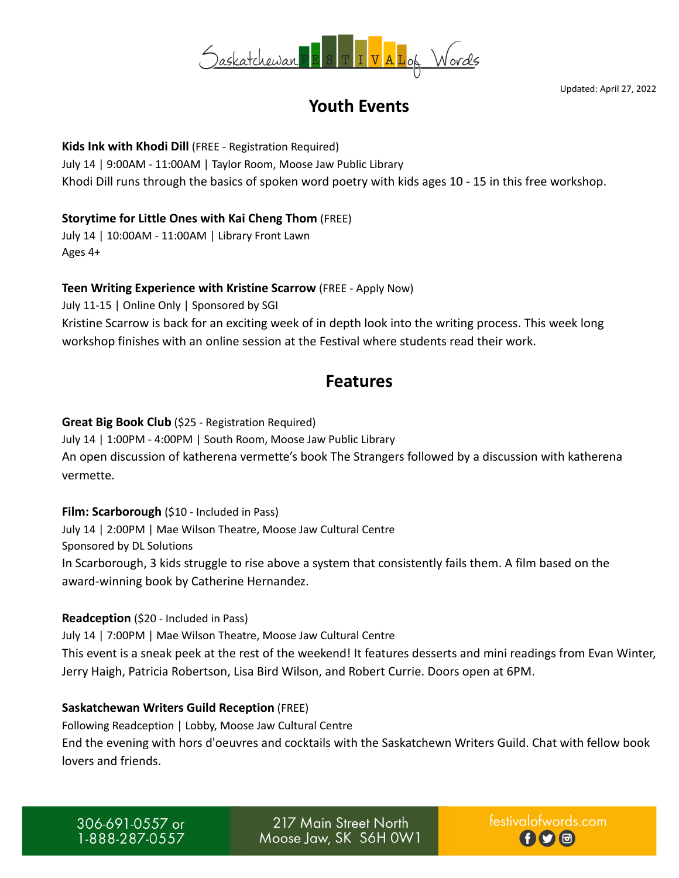

Updated: April 27, 2022

# **Youth Events**

# **Kids Ink with Khodi Dill** (FREE - Registration Required) July 14 | 9:00AM - 11:00AM | Taylor Room, Moose Jaw Public Library Khodi Dill runs through the basics of spoken word poetry with kids ages 10 - 15 in this free workshop.

## **Storytime for Little Ones with Kai Cheng Thom** (FREE)

July 14 | 10:00AM - 11:00AM | Library Front Lawn Ages 4+

## **Teen Writing Experience with Kristine Scarrow** (FREE - Apply Now)

July 11-15 | Online Only | Sponsored by SGI Kristine Scarrow is back for an exciting week of in depth look into the writing process. This week long workshop finishes with an online session at the Festival where students read their work.

# **Features**

## **Great Big Book Club** (\$25 - Registration Required)

July 14 | 1:00PM - 4:00PM | South Room, Moose Jaw Public Library An open discussion of katherena vermette's book The Strangers followed by a discussion with katherena vermette.

## **Film: Scarborough** (\$10 - Included in Pass)

July 14 | 2:00PM | Mae Wilson Theatre, Moose Jaw Cultural Centre Sponsored by DL Solutions

In Scarborough, 3 kids struggle to rise above a system that consistently fails them. A film based on the award-winning book by Catherine Hernandez.

## **Readception** (\$20 - Included in Pass)

July 14 | 7:00PM | Mae Wilson Theatre, Moose Jaw Cultural Centre This event is a sneak peek at the rest of the weekend! It features desserts and mini readings from Evan Winter, Jerry Haigh, Patricia Robertson, Lisa Bird Wilson, and Robert Currie. Doors open at 6PM.

## **Saskatchewan Writers Guild Reception** (FREE)

Following Readception | Lobby, Moose Jaw Cultural Centre End the evening with hors d'oeuvres and cocktails with the Saskatchewn Writers Guild. Chat with fellow book lovers and friends.

306-691-0557 or 1-888-287-0557

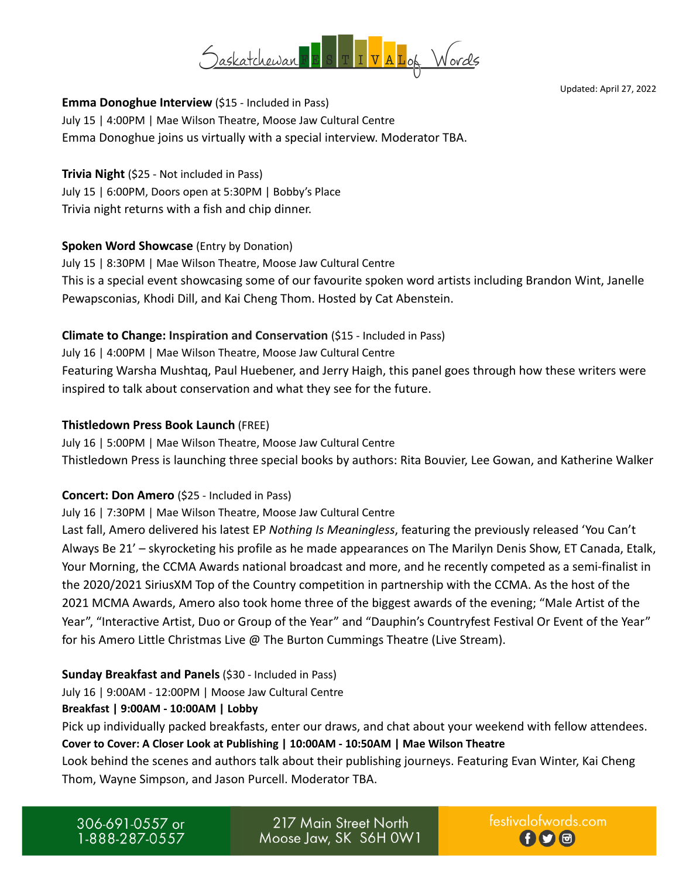

Updated: April 27, 2022

## **Emma Donoghue Interview** (\$15 - Included in Pass)

July 15 | 4:00PM | Mae Wilson Theatre, Moose Jaw Cultural Centre Emma Donoghue joins us virtually with a special interview. Moderator TBA.

**Trivia Night** (\$25 - Not included in Pass) July 15 | 6:00PM, Doors open at 5:30PM | Bobby's Place Trivia night returns with a fish and chip dinner.

## **Spoken Word Showcase** (Entry by Donation)

July 15 | 8:30PM | Mae Wilson Theatre, Moose Jaw Cultural Centre This is a special event showcasing some of our favourite spoken word artists including Brandon Wint, Janelle Pewapsconias, Khodi Dill, and Kai Cheng Thom. Hosted by Cat Abenstein.

## **Climate to Change: Inspiration and Conservation** (\$15 - Included in Pass)

July 16 | 4:00PM | Mae Wilson Theatre, Moose Jaw Cultural Centre Featuring Warsha Mushtaq, Paul Huebener, and Jerry Haigh, this panel goes through how these writers were inspired to talk about conservation and what they see for the future.

## **Thistledown Press Book Launch** (FREE)

July 16 | 5:00PM | Mae Wilson Theatre, Moose Jaw Cultural Centre Thistledown Press is launching three special books by authors: Rita Bouvier, Lee Gowan, and Katherine Walker

## **Concert: Don Amero** (\$25 - Included in Pass)

July 16 | 7:30PM | Mae Wilson Theatre, Moose Jaw Cultural Centre

Last fall, Amero delivered his latest EP *Nothing Is Meaningless*, featuring the previously released 'You Can't Always Be 21' – skyrocketing his profile as he made appearances on The Marilyn Denis Show, ET Canada, Etalk, Your Morning, the CCMA Awards national broadcast and more, and he recently competed as a semi-finalist in the 2020/2021 SiriusXM Top of the Country competition in partnership with the CCMA. As the host of the 2021 MCMA Awards, Amero also took home three of the biggest awards of the evening; "Male Artist of the Year", "Interactive Artist, Duo or Group of the Year" and "Dauphin's Countryfest Festival Or Event of the Year" for his Amero Little Christmas Live @ The Burton Cummings Theatre (Live Stream).

## **Sunday Breakfast and Panels** (\$30 - Included in Pass)

July 16 | 9:00AM - 12:00PM | Moose Jaw Cultural Centre

## **Breakfast | 9:00AM - 10:00AM | Lobby**

Pick up individually packed breakfasts, enter our draws, and chat about your weekend with fellow attendees. **Cover to Cover: A Closer Look at Publishing | 10:00AM - 10:50AM | Mae Wilson Theatre**

Look behind the scenes and authors talk about their publishing journeys. Featuring Evan Winter, Kai Cheng Thom, Wayne Simpson, and Jason Purcell. Moderator TBA.